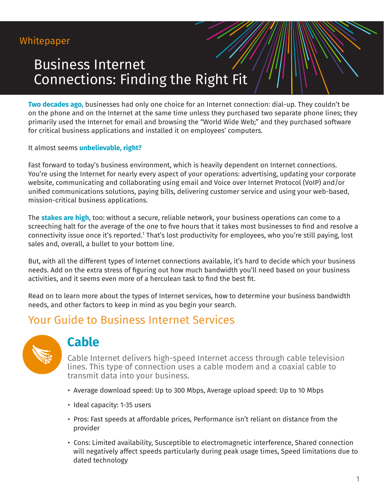# Business Internet Connections: Finding the Right Fit

**Two decades ago,** businesses had only one choice for an Internet connection: dial-up. They couldn't be on the phone and on the Internet at the same time unless they purchased two separate phone lines; they primarily used the Internet for email and browsing the "World Wide Web;" and they purchased software for critical business applications and installed it on employees' computers.

It almost seems **unbelievable, right?** 

Fast forward to today's business environment, which is heavily dependent on Internet connections. You're using the Internet for nearly every aspect of your operations: advertising, updating your corporate website, communicating and collaborating using email and Voice over Internet Protocol (VoIP) and/or unified communications solutions, paying bills, delivering customer service and using your web-based, mission-critical business applications.

The **stakes are high**, too: without a secure, reliable network, your business operations can come to a screeching halt for the average of the one to five hours that it takes most businesses to find and resolve a connectivity issue once it's reported.<sup>1</sup> That's lost productivity for employees, who you're still paying, lost sales and, overall, a bullet to your bottom line.

But, with all the different types of Internet connections available, it's hard to decide which your business needs. Add on the extra stress of figuring out how much bandwidth you'll need based on your business activities, and it seems even more of a herculean task to find the best fit.

Read on to learn more about the types of Internet services, how to determine your business bandwidth needs, and other factors to keep in mind as you begin your search.

#### Your Guide to Business Internet Services



#### **Cable**

Cable Internet delivers high-speed Internet access through cable television lines. This type of connection uses a cable modem and a coaxial cable to transmit data into your business.

- Average download speed: Up to 300 Mbps, Average upload speed: Up to 10 Mbps
- Ideal capacity: 1-35 users
- Pros: Fast speeds at affordable prices, Performance isn't reliant on distance from the provider
- Cons: Limited availability, Susceptible to electromagnetic interference, Shared connection will negatively affect speeds particularly during peak usage times, Speed limitations due to dated technology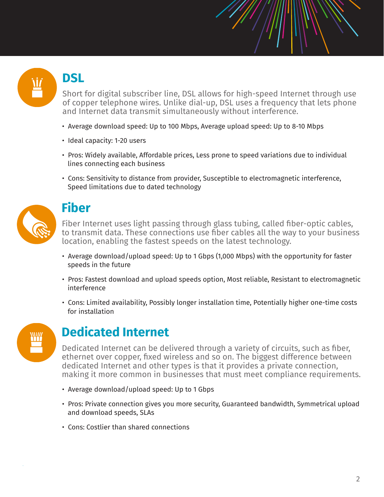# **DSL**

Short for digital subscriber line, DSL allows for high-speed Internet through use of copper telephone wires. Unlike dial-up, DSL uses a frequency that lets phone and Internet data transmit simultaneously without interference.

- Average download speed: Up to 100 Mbps, Average upload speed: Up to 8-10 Mbps
- Ideal capacity: 1-20 users
- Pros: Widely available, Affordable prices, Less prone to speed variations due to individual lines connecting each business
- Cons: Sensitivity to distance from provider, Susceptible to electromagnetic interference, Speed limitations due to dated technology



#### **Fiber**

Fiber Internet uses light passing through glass tubing, called fiber-optic cables, to transmit data. These connections use fiber cables all the way to your business location, enabling the fastest speeds on the latest technology.

- Average download/upload speed: Up to 1 Gbps (1,000 Mbps) with the opportunity for faster speeds in the future
- Pros: Fastest download and upload speeds option, Most reliable, Resistant to electromagnetic interference
- Cons: Limited availability, Possibly longer installation time, Potentially higher one-time costs for installation



## **Dedicated Internet**

Dedicated Internet can be delivered through a variety of circuits, such as fiber, ethernet over copper, fixed wireless and so on. The biggest difference between dedicated Internet and other types is that it provides a private connection, making it more common in businesses that must meet compliance requirements.

- Average download/upload speed: Up to 1 Gbps
- Pros: Private connection gives you more security, Guaranteed bandwidth, Symmetrical upload and download speeds, SLAs
- Cons: Costlier than shared connections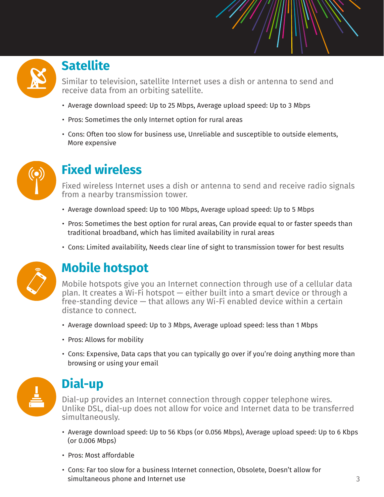### **Satellite**

Similar to television, satellite Internet uses a dish or antenna to send and receive data from an orbiting satellite.

- Average download speed: Up to 25 Mbps, Average upload speed: Up to 3 Mbps
- Pros: Sometimes the only Internet option for rural areas
- Cons: Often too slow for business use, Unreliable and susceptible to outside elements, More expensive



## **Fixed wireless**

Fixed wireless Internet uses a dish or antenna to send and receive radio signals from a nearby transmission tower.

- Average download speed: Up to 100 Mbps, Average upload speed: Up to 5 Mbps
- Pros: Sometimes the best option for rural areas, Can provide equal to or faster speeds than traditional broadband, which has limited availability in rural areas
- Cons: Limited availability, Needs clear line of sight to transmission tower for best results



# **Mobile hotspot**

Mobile hotspots give you an Internet connection through use of a cellular data plan. It creates a Wi-Fi hotspot — either built into a smart device or through a free-standing device — that allows any Wi-Fi enabled device within a certain distance to connect.

- Average download speed: Up to 3 Mbps, Average upload speed: less than 1 Mbps
- Pros: Allows for mobility
- Cons: Expensive, Data caps that you can typically go over if you're doing anything more than browsing or using your email



## **Dial-up**

Dial-up provides an Internet connection through copper telephone wires. Unlike DSL, dial-up does not allow for voice and Internet data to be transferred simultaneously.

- Average download speed: Up to 56 Kbps (or 0.056 Mbps), Average upload speed: Up to 6 Kbps (or 0.006 Mbps)
- Pros: Most affordable
- Cons: Far too slow for a business Internet connection, Obsolete, Doesn't allow for simultaneous phone and Internet use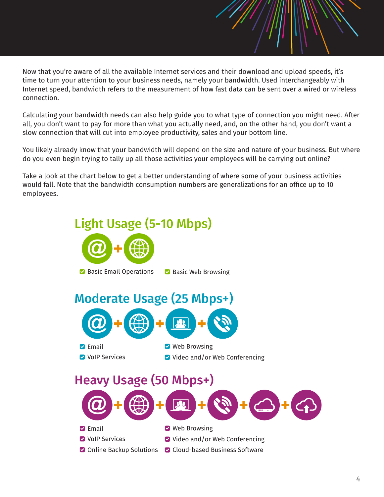Now that you're aware of all the available Internet services and their download and upload speeds, it's time to turn your attention to your business needs, namely your bandwidth. Used interchangeably with Internet speed, bandwidth refers to the measurement of how fast data can be sent over a wired or wireless connection.

 $\mathcal{L} = \mathcal{L} = \mathcal{L} = \mathcal{L} = \mathcal{L} = \mathcal{L} = \mathcal{L} = \mathcal{L} = \mathcal{L} = \mathcal{L} = \mathcal{L} = \mathcal{L} = \mathcal{L} = \mathcal{L} = \mathcal{L} = \mathcal{L} = \mathcal{L} = \mathcal{L} = \mathcal{L} = \mathcal{L} = \mathcal{L} = \mathcal{L} = \mathcal{L} = \mathcal{L} = \mathcal{L} = \mathcal{L} = \mathcal{L} = \mathcal{L} = \mathcal{L} = \mathcal{L} = \mathcal{L} = \mathcal$ 

Calculating your bandwidth needs can also help guide you to what type of connection you might need. After all, you don't want to pay for more than what you actually need, and, on the other hand, you don't want a slow connection that will cut into employee productivity, sales and your bottom line.

You likely already know that your bandwidth will depend on the size and nature of your business. But where do you even begin trying to tally up all those activities your employees will be carrying out online?

Take a look at the chart below to get a better understanding of where some of your business activities would fall. Note that the bandwidth consumption numbers are generalizations for an office up to 10 employees.

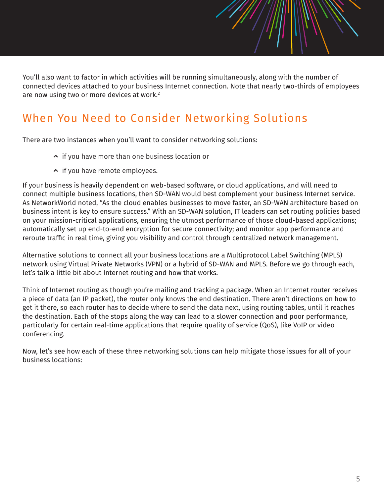You'll also want to factor in which activities will be running simultaneously, along with the number of connected devices attached to your business Internet connection. Note that nearly two-thirds of employees are now using two or more devices at work.<sup>2</sup>

## When You Need to Consider Networking Solutions

There are two instances when you'll want to consider networking solutions:

- $\sim$  if you have more than one business location or
- $\sim$  if you have remote employees.

If your business is heavily dependent on web-based software, or cloud applications, and will need to connect multiple business locations, then SD-WAN would best complement your business Internet service. As NetworkWorld noted, "As the cloud enables businesses to move faster, an SD-WAN architecture based on business intent is key to ensure success." With an SD-WAN solution, IT leaders can set routing policies based on your mission-critical applications, ensuring the utmost performance of those cloud-based applications; automatically set up end-to-end encryption for secure connectivity; and monitor app performance and reroute traffic in real time, giving you visibility and control through centralized network management.

Alternative solutions to connect all your business locations are a Multiprotocol Label Switching (MPLS) network using Virtual Private Networks (VPN) or a hybrid of SD-WAN and MPLS. Before we go through each, let's talk a little bit about Internet routing and how that works.

Think of Internet routing as though you're mailing and tracking a package. When an Internet router receives a piece of data (an IP packet), the router only knows the end destination. There aren't directions on how to get it there, so each router has to decide where to send the data next, using routing tables, until it reaches the destination. Each of the stops along the way can lead to a slower connection and poor performance, particularly for certain real-time applications that require quality of service (QoS), like VoIP or video conferencing.

Now, let's see how each of these three networking solutions can help mitigate those issues for all of your business locations: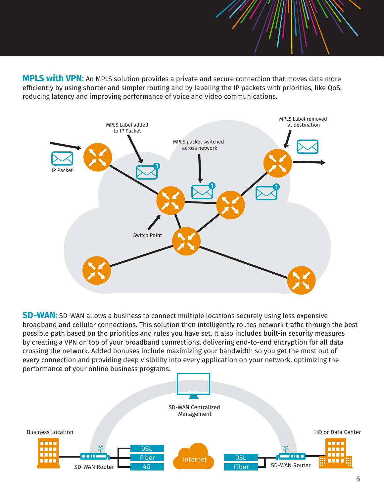**MPLS with VPN**: An MPLS solution provides a private and secure connection that moves data more efficiently by using shorter and simpler routing and by labeling the IP packets with priorities, like QoS, reducing latency and improving performance of voice and video communications.



**SD-WAN:** SD-WAN allows a business to connect multiple locations securely using less expensive broadband and cellular connections. This solution then intelligently routes network traffic through the best possible path based on the priorities and rules you have set. It also includes built-in security measures by creating a VPN on top of your broadband connections, delivering end-to-end encryption for all data crossing the network. Added bonuses include maximizing your bandwidth so you get the most out of every connection and providing deep visibility into every application on your network, optimizing the performance of your online business programs.

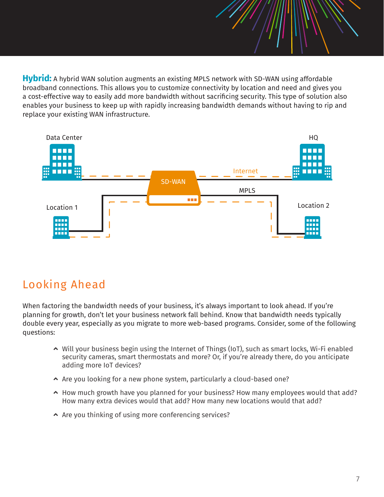**Hybrid:** A hybrid WAN solution augments an existing MPLS network with SD-WAN using affordable broadband connections. This allows you to customize connectivity by location and need and gives you a cost-effective way to easily add more bandwidth without sacrificing security. This type of solution also enables your business to keep up with rapidly increasing bandwidth demands without having to rip and replace your existing WAN infrastructure.



#### Looking Ahead

When factoring the bandwidth needs of your business, it's always important to look ahead. If you're planning for growth, don't let your business network fall behind. Know that bandwidth needs typically double every year, especially as you migrate to more web-based programs. Consider, some of the following questions:

- $\sim$  Will your business begin using the Internet of Things (IoT), such as smart locks, Wi-Fi enabled security cameras, smart thermostats and more? Or, if you're already there, do you anticipate adding more IoT devices?
- $\sim$  Are you looking for a new phone system, particularly a cloud-based one?
- $\sim$  How much growth have you planned for your business? How many employees would that add? How many extra devices would that add? How many new locations would that add?
- $\sim$  Are you thinking of using more conferencing services?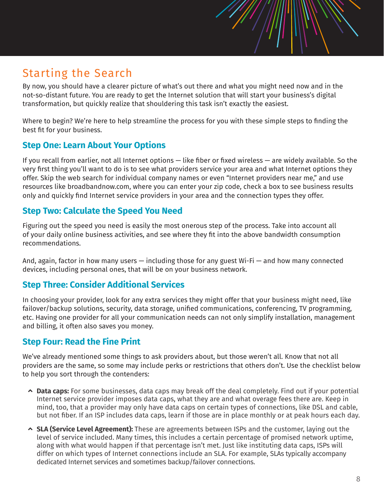### Starting the Search

By now, you should have a clearer picture of what's out there and what you might need now and in the not-so-distant future. You are ready to get the Internet solution that will start your business's digital transformation, but quickly realize that shouldering this task isn't exactly the easiest.

Where to begin? We're here to help streamline the process for you with these simple steps to finding the best fit for your business.

#### **Step One: Learn About Your Options**

If you recall from earlier, not all Internet options — like fiber or fixed wireless — are widely available. So the very first thing you'll want to do is to see what providers service your area and what Internet options they offer. Skip the web search for individual company names or even "Internet providers near me," and use resources like broadbandnow.com, where you can enter your zip code, check a box to see business results only and quickly find Internet service providers in your area and the connection types they offer.

#### **Step Two: Calculate the Speed You Need**

Figuring out the speed you need is easily the most onerous step of the process. Take into account all of your daily online business activities, and see where they fit into the above bandwidth consumption recommendations.

And, again, factor in how many users  $-$  including those for any guest Wi-Fi  $-$  and how many connected devices, including personal ones, that will be on your business network.

#### **Step Three: Consider Additional Services**

In choosing your provider, look for any extra services they might offer that your business might need, like failover/backup solutions, security, data storage, unified communications, conferencing, TV programming, etc. Having one provider for all your communication needs can not only simplify installation, management and billing, it often also saves you money.

#### **Step Four: Read the Fine Print**

We've already mentioned some things to ask providers about, but those weren't all. Know that not all providers are the same, so some may include perks or restrictions that others don't. Use the checklist below to help you sort through the contenders:

- $\sim$  **Data caps:** For some businesses, data caps may break off the deal completely. Find out if your potential Internet service provider imposes data caps, what they are and what overage fees there are. Keep in mind, too, that a provider may only have data caps on certain types of connections, like DSL and cable, but not fiber. If an ISP includes data caps, learn if those are in place monthly or at peak hours each day.
- þ **SLA (Service Level Agreement):** These are agreements between ISPs and the customer, laying out the level of service included. Many times, this includes a certain percentage of promised network uptime, along with what would happen if that percentage isn't met. Just like instituting data caps, ISPs will differ on which types of Internet connections include an SLA. For example, SLAs typically accompany dedicated Internet services and sometimes backup/failover connections.